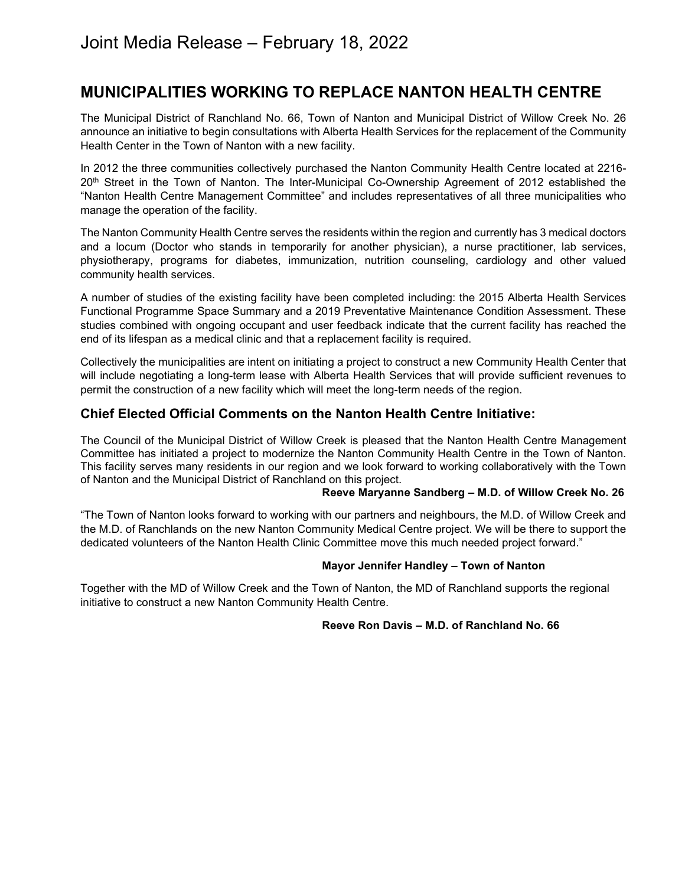# **MUNICIPALITIES WORKING TO REPLACE NANTON HEALTH CENTRE**

The Municipal District of Ranchland No. 66, Town of Nanton and Municipal District of Willow Creek No. 26 announce an initiative to begin consultations with Alberta Health Services for the replacement of the Community Health Center in the Town of Nanton with a new facility.

In 2012 the three communities collectively purchased the Nanton Community Health Centre located at 2216- 20th Street in the Town of Nanton. The Inter-Municipal Co-Ownership Agreement of 2012 established the "Nanton Health Centre Management Committee" and includes representatives of all three municipalities who manage the operation of the facility.

The Nanton Community Health Centre serves the residents within the region and currently has 3 medical doctors and a locum (Doctor who stands in temporarily for another physician), a nurse practitioner, lab services, physiotherapy, programs for diabetes, immunization, nutrition counseling, cardiology and other valued community health services.

A number of studies of the existing facility have been completed including: the 2015 Alberta Health Services Functional Programme Space Summary and a 2019 Preventative Maintenance Condition Assessment. These studies combined with ongoing occupant and user feedback indicate that the current facility has reached the end of its lifespan as a medical clinic and that a replacement facility is required.

Collectively the municipalities are intent on initiating a project to construct a new Community Health Center that will include negotiating a long-term lease with Alberta Health Services that will provide sufficient revenues to permit the construction of a new facility which will meet the long-term needs of the region.

# **Chief Elected Official Comments on the Nanton Health Centre Initiative:**

The Council of the Municipal District of Willow Creek is pleased that the Nanton Health Centre Management Committee has initiated a project to modernize the Nanton Community Health Centre in the Town of Nanton. This facility serves many residents in our region and we look forward to working collaboratively with the Town of Nanton and the Municipal District of Ranchland on this project.

#### **Reeve Maryanne Sandberg – M.D. of Willow Creek No. 26**

"The Town of Nanton looks forward to working with our partners and neighbours, the M.D. of Willow Creek and the M.D. of Ranchlands on the new Nanton Community Medical Centre project. We will be there to support the dedicated volunteers of the Nanton Health Clinic Committee move this much needed project forward."

## **Mayor Jennifer Handley – Town of Nanton**

Together with the MD of Willow Creek and the Town of Nanton, the MD of Ranchland supports the regional initiative to construct a new Nanton Community Health Centre.

## **Reeve Ron Davis – M.D. of Ranchland No. 66**